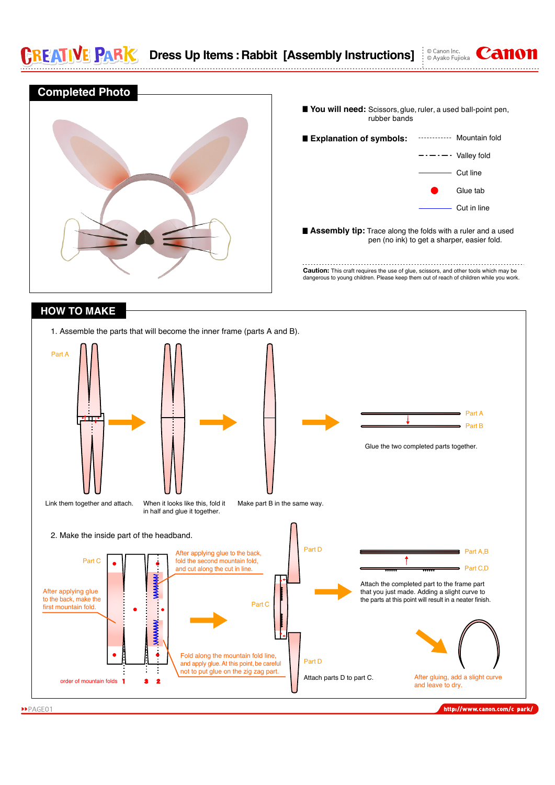